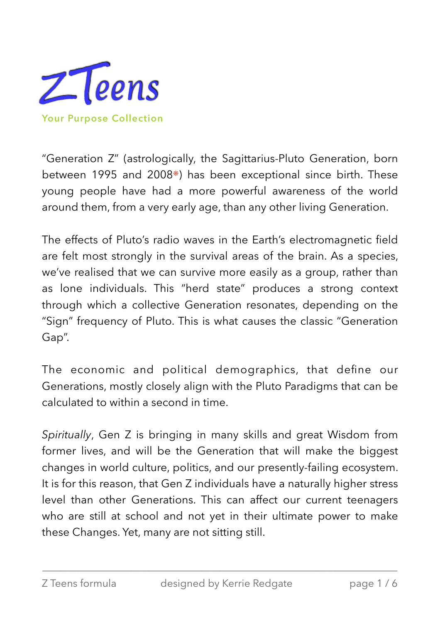

<span id="page-0-0"></span>"Generation Z" (astrologically, the Sagittarius-Pluto Generation, born between 1995 and 2008[❋](#page-5-0)) has been exceptional since birth. These young people have had a more powerful awareness of the world around them, from a very early age, than any other living Generation.

The effects of Pluto's radio waves in the Earth's electromagnetic field are felt most strongly in the survival areas of the brain. As a species, we've realised that we can survive more easily as a group, rather than as lone individuals. This "herd state" produces a strong context through which a collective Generation resonates, depending on the "Sign" frequency of Pluto. This is what causes the classic "Generation Gap".

The economic and political demographics, that define our Generations, mostly closely align with the Pluto Paradigms that can be calculated to within a second in time.

*Spiritually*, Gen Z is bringing in many skills and great Wisdom from former lives, and will be the Generation that will make the biggest changes in world culture, politics, and our presently-failing ecosystem. It is for this reason, that Gen Z individuals have a naturally higher stress level than other Generations. This can affect our current teenagers who are still at school and not yet in their ultimate power to make these Changes. Yet, many are not sitting still.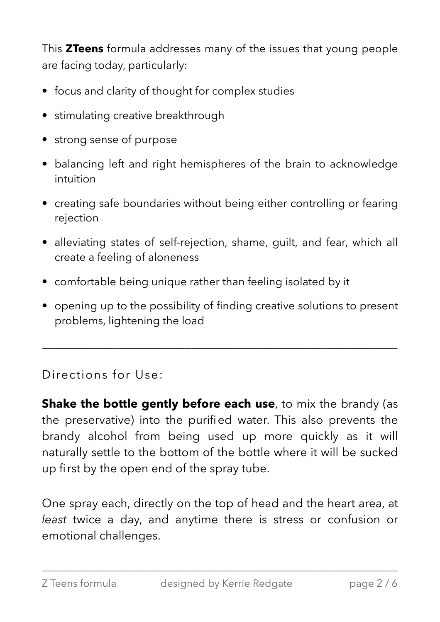This **ZTeens** formula addresses many of the issues that young people are facing today, particularly:

- focus and clarity of thought for complex studies
- stimulating creative breakthrough
- strong sense of purpose
- balancing left and right hemispheres of the brain to acknowledge intuition
- creating safe boundaries without being either controlling or fearing rejection
- alleviating states of self-rejection, shame, guilt, and fear, which all create a feeling of aloneness
- comfortable being unique rather than feeling isolated by it
- opening up to the possibility of finding creative solutions to present problems, lightening the load

 $\overline{\phantom{a}}$  , and the contract of the contract of the contract of the contract of the contract of the contract of the contract of the contract of the contract of the contract of the contract of the contract of the contrac

Directions for Use:

**Shake the bottle gently before each use**, to mix the brandy (as the preservative) into the purified water. This also prevents the brandy alcohol from being used up more quickly as it will naturally settle to the bottom of the bottle where it will be sucked up first by the open end of the spray tube.

One spray each, directly on the top of head and the heart area, at *least* twice a day, and anytime there is stress or confusion or emotional challenges.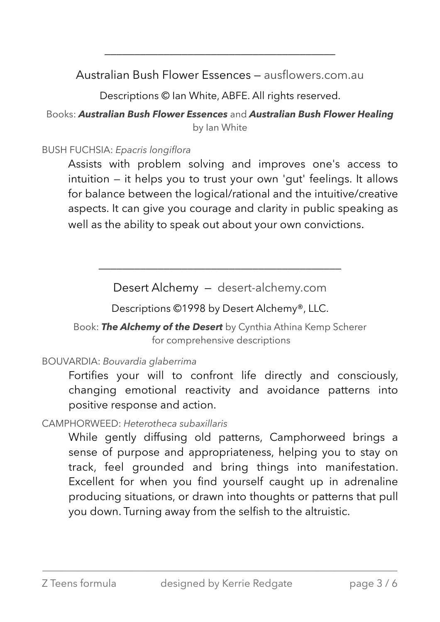Australian Bush Flower Essences — [ausflowers.com](https://ausflowers.com).au

\_\_\_\_\_\_\_\_\_\_\_\_\_\_\_\_\_\_\_\_\_\_\_\_\_\_\_\_\_\_\_\_\_\_\_\_\_\_\_

Descriptions © Ian White, ABFE. All rights reserved.

Books: *Australian Bush Flower Essences* and *Australian Bush Flower Healing* by Ian White

### BUSH FUCHSIA: *Epacris longiflora*

 Assists with problem solving and improves one's access to intuition — it helps you to trust your own 'gut' feelings. It allows for balance between the logical/rational and the intuitive/creative aspects. It can give you courage and clarity in public speaking as well as the ability to speak out about your own convictions.

Desert Alchemy — [desert-alchemy.com](https://www.desert-alchemy.com)

\_\_\_\_\_\_\_\_\_\_\_\_\_\_\_\_\_\_\_\_\_\_\_\_\_\_\_\_\_\_\_\_\_\_\_\_\_\_\_\_\_

Descriptions ©1998 by Desert Alchemy®, LLC.

Book: *The Alchemy of the Desert* by Cynthia Athina Kemp Scherer for comprehensive descriptions

BOUVARDIA: *Bouvardia glaberrima*

Fortifies your will to confront life directly and consciously, changing emotional reactivity and avoidance patterns into positive response and action.

CAMPHORWEED: *Heterotheca subaxillaris*

While gently diffusing old patterns, Camphorweed brings a sense of purpose and appropriateness, helping you to stay on track, feel grounded and bring things into manifestation. Excellent for when you find yourself caught up in adrenaline producing situations, or drawn into thoughts or patterns that pull you down. Turning away from the selfish to the altruistic.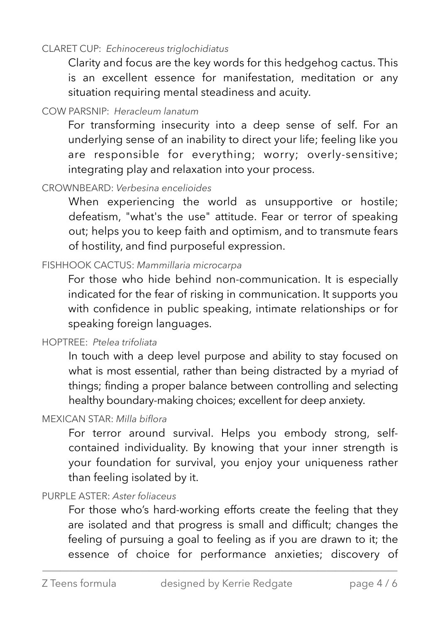#### CLARET CUP: *Echinocereus triglochidiatus*

Clarity and focus are the key words for this hedgehog cactus. This is an excellent essence for manifestation, meditation or any situation requiring mental steadiness and acuity.

#### COW PARSNIP: *Heracleum lanatum*

For transforming insecurity into a deep sense of self. For an underlying sense of an inability to direct your life; feeling like you are responsible for everything; worry; overly-sensitive; integrating play and relaxation into your process.

### CROWNBEARD: *Verbesina encelioides*

When experiencing the world as unsupportive or hostile; defeatism, "what's the use" attitude. Fear or terror of speaking out; helps you to keep faith and optimism, and to transmute fears of hostility, and find purposeful expression.

#### FISHHOOK CACTUS: *Mammillaria microcarpa*

For those who hide behind non-communication. It is especially indicated for the fear of risking in communication. It supports you with confidence in public speaking, intimate relationships or for speaking foreign languages.

#### HOPTREE: *Ptelea trifoliata*

In touch with a deep level purpose and ability to stay focused on what is most essential, rather than being distracted by a myriad of things; finding a proper balance between controlling and selecting healthy boundary-making choices; excellent for deep anxiety.

#### MEXICAN STAR: *Milla biflora*

For terror around survival. Helps you embody strong, selfcontained individuality. By knowing that your inner strength is your foundation for survival, you enjoy your uniqueness rather than feeling isolated by it.

#### PURPLE ASTER: *Aster foliaceus*

For those who's hard-working efforts create the feeling that they are isolated and that progress is small and difficult; changes the feeling of pursuing a goal to feeling as if you are drawn to it; the essence of choice for performance anxieties; discovery of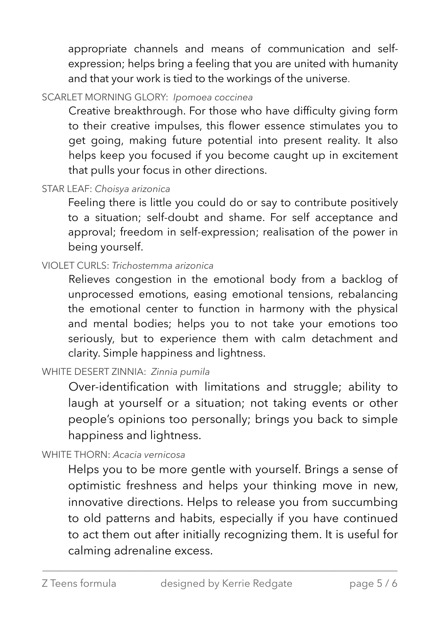appropriate channels and means of communication and selfexpression; helps bring a feeling that you are united with humanity and that your work is tied to the workings of the universe.

# SCARLET MORNING GLORY: *Ipomoea coccinea*

Creative breakthrough. For those who have difficulty giving form to their creative impulses, this flower essence stimulates you to get going, making future potential into present reality. It also helps keep you focused if you become caught up in excitement that pulls your focus in other directions.

# STAR LEAF: *Choisya arizonica*

Feeling there is little you could do or say to contribute positively to a situation; self-doubt and shame. For self acceptance and approval; freedom in self-expression; realisation of the power in being yourself.

## VIOLET CURLS: *Trichostemma arizonica*

Relieves congestion in the emotional body from a backlog of unprocessed emotions, easing emotional tensions, rebalancing the emotional center to function in harmony with the physical and mental bodies; helps you to not take your emotions too seriously, but to experience them with calm detachment and clarity. Simple happiness and lightness.

## WHITE DESERT ZINNIA: *Zinnia pumila*

Over-identification with limitations and struggle; ability to laugh at yourself or a situation; not taking events or other people's opinions too personally; brings you back to simple happiness and lightness.

### WHITE THORN: *Acacia vernicosa*

Helps you to be more gentle with yourself. Brings a sense of optimistic freshness and helps your thinking move in new, innovative directions. Helps to release you from succumbing to old patterns and habits, especially if you have continued to act them out after initially recognizing them. It is useful for calming adrenaline excess.